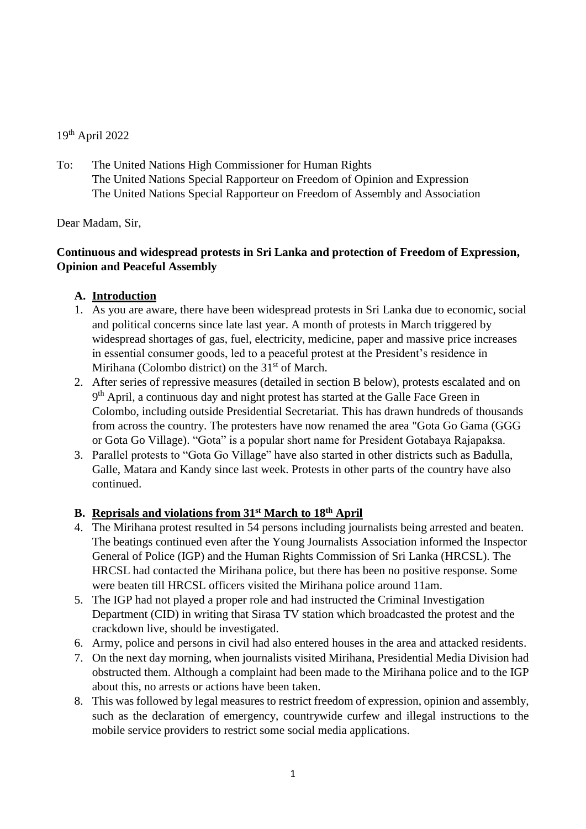# 19<sup>th</sup> April 2022

To: The United Nations High Commissioner for Human Rights The United Nations Special Rapporteur on Freedom of Opinion and Expression The United Nations Special Rapporteur on Freedom of Assembly and Association

Dear Madam, Sir,

### **Continuous and widespread protests in Sri Lanka and protection of Freedom of Expression, Opinion and Peaceful Assembly**

# **A. Introduction**

- 1. As you are aware, there have been widespread protests in Sri Lanka due to economic, social and political concerns since late last year. A month of protests in March triggered by widespread shortages of gas, fuel, electricity, medicine, paper and massive price increases in essential consumer goods, led to a peaceful protest at the President's residence in Mirihana (Colombo district) on the  $31<sup>st</sup>$  of March.
- 2. After series of repressive measures (detailed in section B below), protests escalated and on 9<sup>th</sup> April, a continuous day and night protest has started at the Galle Face Green in Colombo, including outside Presidential Secretariat. This has drawn hundreds of thousands from across the country. The protesters have now renamed the area "Gota Go Gama (GGG or Gota Go Village). "Gota" is a popular short name for President Gotabaya Rajapaksa.
- 3. Parallel protests to "Gota Go Village" have also started in other districts such as Badulla, Galle, Matara and Kandy since last week. Protests in other parts of the country have also continued.

# **B. Reprisals and violations from 31st March to 18 th April**

- 4. The Mirihana protest resulted in 54 persons including journalists being arrested and beaten. The beatings continued even after the Young Journalists Association informed the Inspector General of Police (IGP) and the Human Rights Commission of Sri Lanka (HRCSL). The HRCSL had contacted the Mirihana police, but there has been no positive response. Some were beaten till HRCSL officers visited the Mirihana police around 11am.
- 5. The IGP had not played a proper role and had instructed the Criminal Investigation Department (CID) in writing that Sirasa TV station which broadcasted the protest and the crackdown live, should be investigated.
- 6. Army, police and persons in civil had also entered houses in the area and attacked residents.
- 7. On the next day morning, when journalists visited Mirihana, Presidential Media Division had obstructed them. Although a complaint had been made to the Mirihana police and to the IGP about this, no arrests or actions have been taken.
- 8. This was followed by legal measures to restrict freedom of expression, opinion and assembly, such as the declaration of emergency, countrywide curfew and illegal instructions to the mobile service providers to restrict some social media applications.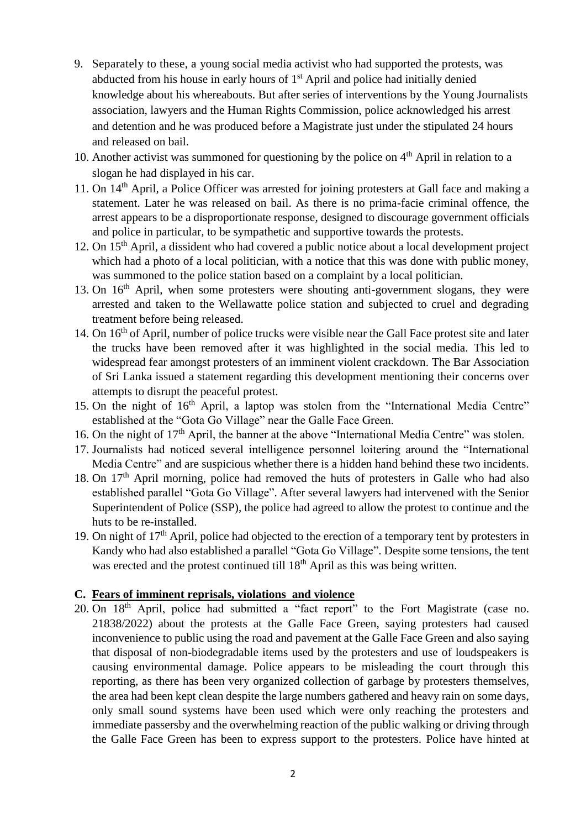- 9. Separately to these, a young social media activist who had supported the protests, was abducted from his house in early hours of 1<sup>st</sup> April and police had initially denied knowledge about his whereabouts. But after series of interventions by the Young Journalists association, lawyers and the Human Rights Commission, police acknowledged his arrest and detention and he was produced before a Magistrate just under the stipulated 24 hours and released on bail.
- 10. Another activist was summoned for questioning by the police on  $4<sup>th</sup>$  April in relation to a slogan he had displayed in his car.
- 11. On 14th April, a Police Officer was arrested for joining protesters at Gall face and making a statement. Later he was released on bail. As there is no prima-facie criminal offence, the arrest appears to be a disproportionate response, designed to discourage government officials and police in particular, to be sympathetic and supportive towards the protests.
- 12. On 15th April, a dissident who had covered a public notice about a local development project which had a photo of a local politician, with a notice that this was done with public money, was summoned to the police station based on a complaint by a local politician.
- 13. On 16<sup>th</sup> April, when some protesters were shouting anti-government slogans, they were arrested and taken to the Wellawatte police station and subjected to cruel and degrading treatment before being released.
- 14. On 16<sup>th</sup> of April, number of police trucks were visible near the Gall Face protest site and later the trucks have been removed after it was highlighted in the social media. This led to widespread fear amongst protesters of an imminent violent crackdown. The Bar Association of Sri Lanka issued a statement regarding this development mentioning their concerns over attempts to disrupt the peaceful protest.
- 15. On the night of 16<sup>th</sup> April, a laptop was stolen from the "International Media Centre" established at the "Gota Go Village" near the Galle Face Green.
- 16. On the night of 17<sup>th</sup> April, the banner at the above "International Media Centre" was stolen.
- 17. Journalists had noticed several intelligence personnel loitering around the "International Media Centre" and are suspicious whether there is a hidden hand behind these two incidents.
- 18. On  $17<sup>th</sup>$  April morning, police had removed the huts of protesters in Galle who had also established parallel "Gota Go Village". After several lawyers had intervened with the Senior Superintendent of Police (SSP), the police had agreed to allow the protest to continue and the huts to be re-installed.
- 19. On night of 17<sup>th</sup> April, police had objected to the erection of a temporary tent by protesters in Kandy who had also established a parallel "Gota Go Village". Despite some tensions, the tent was erected and the protest continued till 18<sup>th</sup> April as this was being written.

### **C. Fears of imminent reprisals, violations and violence**

20. On 18<sup>th</sup> April, police had submitted a "fact report" to the Fort Magistrate (case no. 21838/2022) about the protests at the Galle Face Green, saying protesters had caused inconvenience to public using the road and pavement at the Galle Face Green and also saying that disposal of non-biodegradable items used by the protesters and use of loudspeakers is causing environmental damage. Police appears to be misleading the court through this reporting, as there has been very organized collection of garbage by protesters themselves, the area had been kept clean despite the large numbers gathered and heavy rain on some days, only small sound systems have been used which were only reaching the protesters and immediate passersby and the overwhelming reaction of the public walking or driving through the Galle Face Green has been to express support to the protesters. Police have hinted at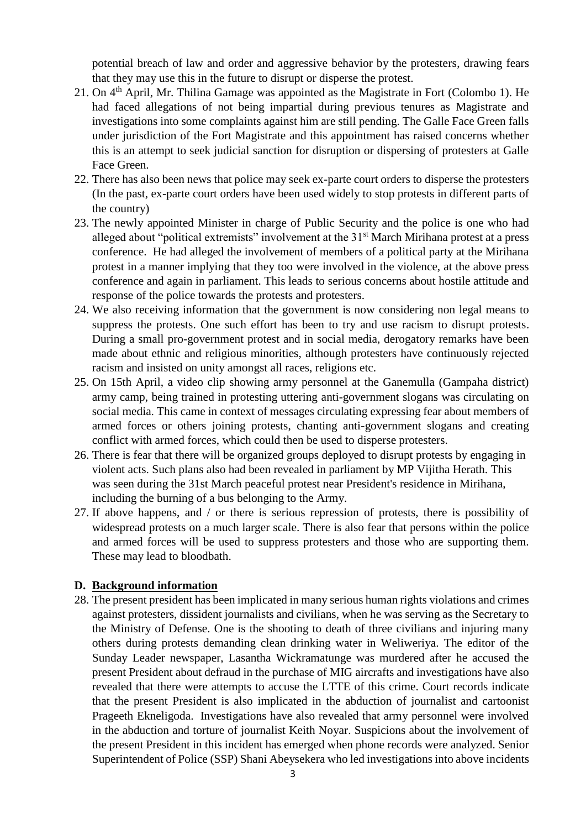potential breach of law and order and aggressive behavior by the protesters, drawing fears that they may use this in the future to disrupt or disperse the protest.

- 21. On  $4<sup>th</sup>$  April, Mr. Thilina Gamage was appointed as the Magistrate in Fort (Colombo 1). He had faced allegations of not being impartial during previous tenures as Magistrate and investigations into some complaints against him are still pending. The Galle Face Green falls under jurisdiction of the Fort Magistrate and this appointment has raised concerns whether this is an attempt to seek judicial sanction for disruption or dispersing of protesters at Galle Face Green.
- 22. There has also been news that police may seek ex-parte court orders to disperse the protesters (In the past, ex-parte court orders have been used widely to stop protests in different parts of the country)
- 23. The newly appointed Minister in charge of Public Security and the police is one who had alleged about "political extremists" involvement at the 31<sup>st</sup> March Mirihana protest at a press conference. He had alleged the involvement of members of a political party at the Mirihana protest in a manner implying that they too were involved in the violence, at the above press conference and again in parliament. This leads to serious concerns about hostile attitude and response of the police towards the protests and protesters.
- 24. We also receiving information that the government is now considering non legal means to suppress the protests. One such effort has been to try and use racism to disrupt protests. During a small pro-government protest and in social media, derogatory remarks have been made about ethnic and religious minorities, although protesters have continuously rejected racism and insisted on unity amongst all races, religions etc.
- 25. On 15th April, a video clip showing army personnel at the Ganemulla (Gampaha district) army camp, being trained in protesting uttering anti-government slogans was circulating on social media. This came in context of messages circulating expressing fear about members of armed forces or others joining protests, chanting anti-government slogans and creating conflict with armed forces, which could then be used to disperse protesters.
- 26. There is fear that there will be organized groups deployed to disrupt protests by engaging in violent acts. Such plans also had been revealed in parliament by MP Vijitha Herath. This was seen during the 31st March peaceful protest near President's residence in Mirihana, including the burning of a bus belonging to the Army.
- 27. If above happens, and / or there is serious repression of protests, there is possibility of widespread protests on a much larger scale. There is also fear that persons within the police and armed forces will be used to suppress protesters and those who are supporting them. These may lead to bloodbath.

#### **D. Background information**

28. The present president has been implicated in many serious human rights violations and crimes against protesters, dissident journalists and civilians, when he was serving as the Secretary to the Ministry of Defense. One is the shooting to death of three civilians and injuring many others during protests demanding clean drinking water in Weliweriya. The editor of the Sunday Leader newspaper, Lasantha Wickramatunge was murdered after he accused the present President about defraud in the purchase of MIG aircrafts and investigations have also revealed that there were attempts to accuse the LTTE of this crime. Court records indicate that the present President is also implicated in the abduction of journalist and cartoonist Prageeth Ekneligoda. Investigations have also revealed that army personnel were involved in the abduction and torture of journalist Keith Noyar. Suspicions about the involvement of the present President in this incident has emerged when phone records were analyzed. Senior Superintendent of Police (SSP) Shani Abeysekera who led investigations into above incidents